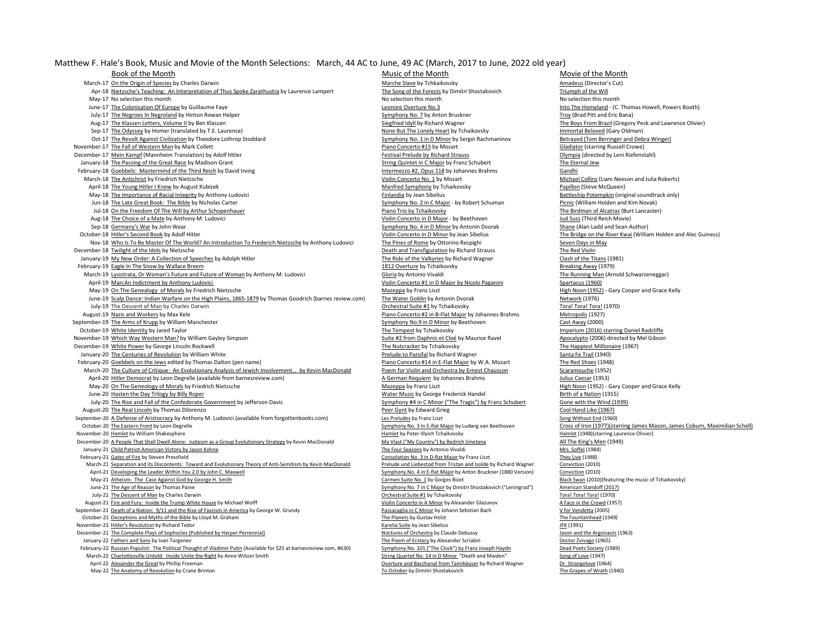Matthew F. Hale's Book, Music and Movie of the Month Selections: March, 44 AC to June, 49 AC (March, 2017 to June, 2022 old year)

Book of the Month Music of the Month Music of the Month Music of the Month Music of the Month Music of the Month Music of the Month Music of the Month Music of the Month Marche Slave by Tchkaikovsky and the Origin of Speci March-17 <u>On the Origin of Species</u> by Charles Darwin Marches Darwin Marches Dave by Tchkaikovsky Amadeus (Director's Cut)<br>Apr-18 Nietzsche's Teaching: An Interpretation of Thus Spoke Zarathustra by Laurence Lampert The So Apr-18 Nietzsche's Teaching: An Interpretation of Thus Spoke Zarathustra by Laurence Lampert May-17 No selection this month No selection this month No selection this month No selection this month No selection this month June-17 The Colonisation Of Europe by Guillaume Faye Leonore Colonisation Of Europe Booth) and Discussion Of Europe by Guillaume Faye Leonore Overture No.3 Leonore Overture No.3 Into The Homeland - (C. Thomas Howell, Power July-17 The Negroes In Negroland by Hinton Rowan Helper Symphony No. 7 by Anton Bruckner Tropy (Brad Pitt and Eric Bana)<br>Aug-17 The Klassen Letters, Volume II by Ben Klassen Symphony No. 7 by Anton Bruckner Siegfried Idyll Sep-17 The Odyssey by Homer (translated by T.E. Laurence) Sep-17 The Lonely Heart by Tchaikovsky Immortal Beloved (Gary Oldman)<br>1999 - Oct-17 The Revolt Against Civilization by Theodore Lothrop Stoddard September 1999 - Sy Oct-17 The Revolt Against Civilization by Theodore Lothrop Stoddard Symphony No. 1 in D Minor by Sergei Rachmaninov Betrayed (Tom Berringer and Debra Winger) November-17 The Fall of Western Man by Mark Collett Piano Piano Concerto #15 by Mozart Piano Concerto #15 by Mozart Gladiator (starring Russell Crowe) December-17 Mein Kampf (Mannheim Translation) by Adolf Hitler Festival Prelude by Richard Strauss Festival Prelude by Richard Strauss Olympia (directed by Leni Riefenstahl) January-18 The Passing of the Great Race by Madison Grant String Chamber String Quintet in C Major by Franz Schubert The Eternal Jew February-18 Goebbels: Mastermind of the Third Reich by David Irving Intermetation and the Third Reich by David Irving Intermezzo #2, Opus 118 by Johannes Brahms Gandhi March-18 The Antichrist by Friedrich Nietzsche Violin Concerto No. 1 by Mozart Mozart Michael Collins (Liam Neeson and Julia Roberts)<br>April-18 The Young Hitler I Knew by August Kubizek Windex Michael Osman Marked Symphony April-18 The Young Hitler I Knew by August Kubizek May-18 The Importance of Racial Integrity by Anthony Ludovici **Finlandia** by Jean Sibelius Battleship Potempkin (original soundtrack only) Jun-18 The Late Great Book: The Bible by Nicholas Carter **Symphony No. 2 in C Major - by Robert Schuman** Picnic (William Holden and Kim Novak)<br>Jul-18 On the Freedom Of The Will by Arthur Schopenhauer **Picagoria Community C** Jul-18 On the Freedom Of The Will by Arthur Schopenhauer and the Manuscule of Alcatraz (Burt Lancaster) The Birdman of Alcatraz (Burt Lancaster) The Birdman of Alcatraz (Burt Lancaster) The Birdman of Alcatraz (Burt Lancas Aug-18 The Choice of a Mate by Anthony M. Ludovici Sep-18 Germany's War by John Wear Sep-18 Germany's War by Antonin Dvorak Shane (Alan Ladd and Sean Author) October-18 Hitler's Second Book by Adolf Hitler<br>Nov-18 Who is To Be Master Of The World? An Introduction To Frederich Nietzsche by Anthony Ludovici<br>Nov-18 Who is To Be Master Of The World? An Introduction To Frederich Niet Nov-18 Who Is To Be Master Of The World? An Introduction To Frederich Nietzsche by Anthony Ludovici The Pines of Rome by Ottorino Respighi Seven Days in May<br>The Red Violin The Red Violin Seven Days in May Death and Transfi December-18 Twilight of the Idols by Nietzsche January-19 My New Order: A Collection of Speeches by Adolph Hitler The Richard The Ride of the Valkyries by Richard Wagner Clash of the Titans (1981) February-19 Eagle In The Snow by Wallace Breem 1812 Overture by Tchaikovsky and the Snow Breaking Away (1979) March-19 Lysistrata, Or Woman's Future and Future of Woman by Anthony M. Ludovici Gloria by Antonio Vivaldi Gloria by Antonio Vivaldi The Running Man (Arnold Schwarzeneggar) April-19 Man:An Indictment by Anthony Ludovici Violin Concerto #1 in D Major by Nicolo Paganini Spartacus (1960) May-19 On The Genealogy of Morals by Friedrich Nietzsche Mazeppa by Franz Liszt Mazeppa by Franz Liszt High Noon (1952) - Gary Cooper and Grace Kelly June-19 Scalp Dance: Indian Warfare on the High Plains, 1865-1879 by Thomas Goodrich (barnes review.com) The Water Goblin by Antonin Dvorak Metwork (1976)<br>July-19 The Descent of Man by Charles Darwin Droral Toral Toral Tor July-19 The Descent of Man by Charles Darwin Orchestral Suite #1 by Tchaikovsky Tora! Tora! Tora! (1970) August-19 Nazis and Workers by Max Kele **Piano Concerto #2** in B-Flat Major by Johannes Brahms Metropolis (1927) September-19 The Arms of Krupp by William Manchester Symphony No.9 in D Minor by Beethoven Cast Away (2000) October-19 White Identity by Jared Taylor National Charlotter Chaikovsky The Tempest by Tchaikovsky National Chaikovsky Imperium (2016) starring Daniel Radcliffe November-19 Which Way Western Man? by William Gayley Simpson Suite #2 from Daphnis et Cloé by Maurice Ravel Man Man Man Apocalypto (2006) directed by Mel Gibson Suite #2 from Daphnis et Cloé by Maurice Ravel Apocalypto (20 December-19 White Power by George Lincoln Rockwell The Music Contraction of the Happiest Million<br>December-19 The Nutcracker by Tchaikovsky The Happiest Millionaire (1940)<br>Prelude to Parsifal by Richard Wagner Santa Fe Trai January-20 The Centuries of Revolution by William White February-20 Goebbels on the Jews edited by Thomas Dalton (pen name) Piano Concerto #14 in E-Flat Major by W.A. Mozart The Red Shoes (1948) March-20 The Culture of Critique: An Evolutionary Analysis of Jewish Involvement... by Kevin MacDonald Poem for Violin and Orchestra by Ernest Chausson Scaramouche (1952) April-20 Hitler Democrat by Leon Degrelle (available from barnesreview.com) **A German Requiem by Johannes Brahms** Julius Caesar (1953) Julius Caesar (1953) A German Requiem by Johannes Brahms Julius Caesar (1953) - Gary Co May-20 <u>On The Geneology of Morals</u> by Friedrich Nietzsche Mazeppa by Franz Liszt Mazeppa by Franz Liszt High Noon (1952) - Gary Cooper and Grace Mazeppa by Franz Liszt High Noon (1952) - Gary Cooper and Grace Cooper and G July-20 The Rise and Fall of the Confederate Government by Jefferson Davis Symphony #4 in C Minor ("The Tragic") by Franz Schubert Gone with the Wind (1939) August-20 The Real Lincoln by Thomas Dilorenzo **Peer Gynt by Edward Grieg Cool Hand Like (1967)** Cool Hand Like (1967) September-20 A Defense of Aristocracy by Anthony M. Ludovici (available from forgottenbooks.com) Les Preludes by Franz Liszt Song Without End (1960) October-20 The Eastern Front by Leon Degrelle Symphony No. 3 In E-flat Major by Ludwig van Beethoven Cross of Iron (1977)(starring James Mason, James Coburn, Maximilian Schell) November-20 Hamlet by William Shakesphere **Hamlet by Peter Illyich Tchaikovsky** Hamlet by Peter Illyich Tchaikovsky Hamlet (1948)(starring Laurence Olivier) December-20 <u>A People That Shall Dwell Alone: Judaism as a Group Evolutionary Strategy</u> by Kevin MacDonald Ma Vlast ("My Country") by Bedrich Smetana Man Ma Vlast ("My Country") by Bedrich Smetana All The King's Men (1949) January-21 Child Patriot American Victory by Jason Kohne **The Four Seasons by Antonio Vivaldi Mrs.** Soffel (1984)<br>1988) February-21 Gates of Fire by Steven Pressfield Guess February-21 Guess of The Vive (1988) February-21 March-21 Separation and its Discontents: Toward and Evolutionary Theory of Anti-Semitism by Kevin MacDonald Prelude und Liebestod from Tristan and Isolde by Richard Wagner Conviction (2010)<br>April-21 Developing the Leader W April-21 Developing the Leader Within You 2.0 by John C. Maxwell May-21 Atheism: The Case Against God by George H. Smith Carmen Suite No. 1 by Gorges Bizet Alexandry Dune 21 The Age of Reason by Thomas Paine Oster Black Swan (2010)(featuring the music of Tchaikovsky)<br>
Symphony No. 7 in July-21 The Descent of Man by Charles Darwin Orchestral Suite #1 by Tchaikovsky Tora! Tora! Tora! (1970) August-21 Fire and Fury: Inside the Trump White House by Michael Wolff Violin Concerto in A Minor by Alexander Glazunov A Face in the Crowd (1957) September-21 <u>Death of a Nation: 9/11 and the Rise of Fascism in America</u> by George W. Grundy Passacaglia in C Minor by Johann Sebstian Bach Passacaglia in C Minor by Johann Sebstian Bach Passacaglia in C Minor by Johann S October-21 Deceptions and Myths of the Bible by Lloyd M. Graham November-21 Hitler's Revolution by Richard Tedor National Suite of the Suite of the Suite by Jean Sibelius JFK (1991) JFK (1991) December-21 The Complete Plays of Sophocles (Published by Harper Perrennial) December 2008 Noctures of Orchestra by Claude Debussy Jason and the Argonauts (1963)<br>January-22 Fathers and Sons by Ivan Turgenev and the Argonau January-22 Fathers and Sons by Ivan Turgenev January-Butch (Available for \$25 at barnesreview.com, #630) The Poem of Ecstacy by Alexander Scriabin January-22 Russian Populist: The Political Thought of Vladimir Putin (Avail February-22 <u>Russian Populist: The Political Thought of Vladimir Putin</u> (Available for \$25 at barnesreview.com, #630) Symphony No. 101 ("The Clock") by Franz Joseph Haydn Dead Poets Society (1989)<br>String Quartet No. 14 in March-22 Charlottesville Untold: Inside Unite the Right by Anne Wilson Smith April-22 Alexander the Great by Phillip Freeman Creative and Discussion of Discussion Overture and Bacchanal from Tannhäuser by Richard Wagner Dr. Strangelove (1964)<br>May-22 The Anatomy of Revolution by Crane Brinton Creati May-22 The Anatomy of Revolution by Crane Brinton To October by Dimitri Shostakovich To October by Dimitri Shostakovich

Water Music by George Frederick Handel Consolation No. 3 in D-flat Major by Franz Liszt<br>Prelude und Liebestod from Tristan and Isolde by Richard Wagner Symphony No. 7 in C Major by Dimitri Shostakovich ("Leningrad") American Standoff (2017)<br>1970 - Toral Toral Toral (1970)

Siegfried Idyll by Richard Wagner The Boys From Brazil (Gregory Peck and Lawrence Olivier)